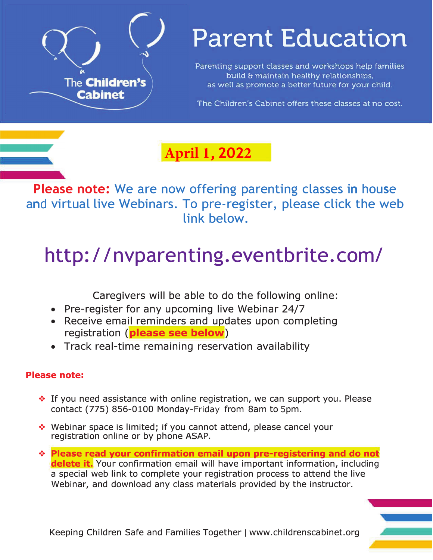

# **Parent Education**

Parenting support classes and workshops help families build & maintain healthy relationships, as well as promote a better future for your child.

The Children's Cabinet offers these classes at no cost.

## **April 1, 2022**

**Please note:** We are now offering parenting classes in house and virtual live Webinars. To pre-register, please click the web link below.

# http://nvparenting.eventbrite.com/

Caregivers will be able to do the following online:

- Pre-register for any upcoming live Webinar 24/7
- Receive email reminders and updates upon completing registration (please see below)
- Track real-time remaining reservation availability

## **Please note:**

- ❖ If you need assistance with online registration, we can support you. Please contact (775) 856-0100 Monday-Friday from 8am to 5pm.
- ◆ Webinar space is limited; if you cannot attend, please cancel your registration online or by phone ASAP.
- \* Please read your confirmation email upon pre-registering and do not delete it. Your confirmation email will have important information, including a special web link to complete your registration process to attend the live Webinar, and download any class materials provided by the instructor.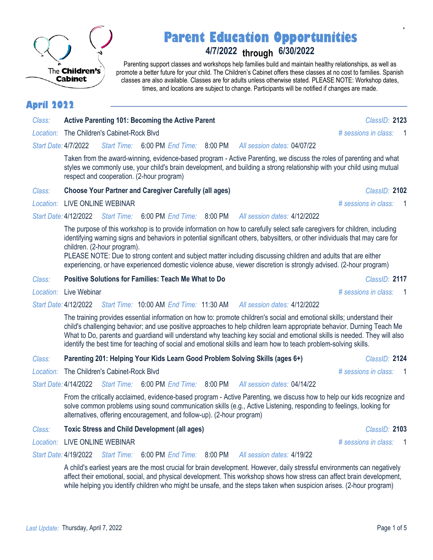*Last Update:* Thursday, April 7, 2022 Page 1 of 5

## **Parent Education Opportunities**

## **4/7/2022 through 6/30/2022**

Parenting support classes and workshops help families build and maintain healthy relationships, as well as promote a better future for your child. The Children's Cabinet offers these classes at no cost to families. Spanish classes are also available. Classes are for adults unless otherwise stated. PLEASE NOTE: Workshop dates, times, and locations are subject to change. Participants will be notified if changes are made.

## **April 2022**

The **Children's Cabinet** 

| Class: | <b>Active Parenting 101: Becoming the Active Parent</b> | ClassID: 2123 |
|--------|---------------------------------------------------------|---------------|
|        |                                                         |               |

*Start Date:* 4/7/2022 *All session dates:* 04/07/22 *Start Time:* 6:00 PM *End Time:* 8:00 PM

> Taken from the award-winning, evidence-based program - Active Parenting, we discuss the roles of parenting and what styles we commonly use, your child's brain development, and building a strong relationship with your child using mutual respect and cooperation. (2-hour program)

### *Class:* **Choose Your Partner and Caregiver Carefully (all ages)** *ClassID:* **2102**

### *Location:* LIVE ONLINE WEBINAR *# sessions in class:* 1

*Start Date:* 4/12/2022 *Start Time:* 6:00 PM *End Time:* 8:00 PM *All session dates:* 4/12/2022

> The purpose of this workshop is to provide information on how to carefully select safe caregivers for children, including identifying warning signs and behaviors in potential significant others, babysitters, or other individuals that may care for children. (2-hour program).

PLEASE NOTE: Due to strong content and subject matter including discussing children and adults that are either experiencing, or have experienced domestic violence abuse, viewer discretion is strongly advised. (2-hour program)

### *Class:* **Positive Solutions for Families: Teach Me What to Do** *ClassID:* **2117**

*Location:* Live Webinar *# sessions in class:* 1

*Start Date:* 4/12/2022 *All session dates:* 4/12/2022 *Start Time:* 10:00 AM *End Time:* 11:30 AM

> The training provides essential information on how to: promote children's social and emotional skills; understand their child's challenging behavior; and use positive approaches to help children learn appropriate behavior. Durning Teach Me What to Do, parents and guardiand will understand why teaching key social and emotional skills is needed. They will also identify the best time for teaching of social and emotional skills and learn how to teach problem-solving skills.

### *Class:* **Parenting 201: Helping Your Kids Learn Good Problem Solving Skills (ages 6+)** *ClassID:* **2124**

*Location:* The Children's Cabinet-Rock Blvd *# sessions in class:* 1

*Start Date:* 4/14/2022 *Start Time:* 6:00 PM *End Time:* 8:00 PM *All session dates:* 04/14/22

> From the critically acclaimed, evidence-based program - Active Parenting, we discuss how to help our kids recognize and solve common problems using sound communication skills (e.g., Active Listening, responding to feelings, looking for alternatives, offering encouragement, and follow-up). (2-hour program)

### *Class:* **Toxic Stress and Child Development (all ages)** *ClassID:* **2103**

*Location:* LIVE ONLINE WEBINAR *# sessions in class:* 1

*Start Date:* 4/19/2022 *Start Time:* 6:00 PM *End Time:* 8:00 PM *All session dates:* 4/19/22

> A child's earliest years are the most crucial for brain development. However, daily stressful environments can negatively affect their emotional, social, and physical development. This workshop shows how stress can affect brain development, while helping you identify children who might be unsafe, and the steps taken when suspicion arises. (2-hour program)



*Location:* The Children's Cabinet-Rock Blvd *# sessions in class:* 1

**\***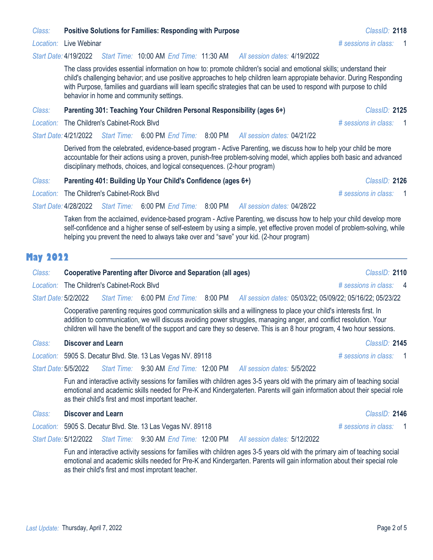### *Class:* **Positive Solutions for Families: Responding with Purpose** *ClassID:* **2118**

#### *Start Date:* 4/19/2022 *All session dates:* 4/19/2022 *Start Time:* 10:00 AM *End Time:* 11:30 AM

The class provides essential information on how to: promote children's social and emotional skills; understand their child's challenging behavior; and use positive approaches to help children learn appropiate behavior. During Responding with Purpose, families and guardians will learn specific strategies that can be used to respond with purpose to child behavior in home and community settings.

#### *Class:* **Parenting 301: Teaching Your Children Personal Responsibility (ages 6+)** *ClassID:* **2125**

*Location:* The Children's Cabinet-Rock Blvd *# sessions in class:* 1

#### *Start Date:* 4/21/2022 *Start Time:* 6:00 PM *End Time:* 8:00 PM *All session dates:* 04/21/22

Derived from the celebrated, evidence-based program - Active Parenting, we discuss how to help your child be more accountable for their actions using a proven, punish-free problem-solving model, which applies both basic and advanced disciplinary methods, choices, and logical consequences. (2-hour program)

#### *Class:* **Parenting 401: Building Up Your Child's Confidence (ages 6+)** *ClassID:* **2126**

*Location:* The Children's Cabinet-Rock Blvd *# sessions in class:* 1

*Start Date:* 4/28/2022 *Start Time:* 6:00 PM *End Time:* 8:00 PM *All session dates:* 04/28/22

> Taken from the acclaimed, evidence-based program - Active Parenting, we discuss how to help your child develop more self-confidence and a higher sense of self-esteem by using a simple, yet effective proven model of problem-solving, while helping you prevent the need to always take over and "save" your kid. (2-hour program)

## **May 2022**

## *Class:* **Cooperative Parenting after Divorce and Separation (all ages)** *ClassID:* **2110**

*Location:* The Children's Cabinet-Rock Blvd *# sessions in class:* 4

*Start Date:* 5/2/2022 *All session dates:* 05/03/22; 05/09/22; 05/16/22; 05/23/22 *Start Time:* 6:00 PM *End Time:* 8:00 PM

Cooperative parenting requires good communication skills and a willingness to place your child's interests first. In addition to communication, we will discuss avoiding power struggles, managing anger, and conflict resolution. Your children will have the benefit of the support and care they so deserve. This is an 8 hour program, 4 two hour sessions.

#### *Class:* **Discover and Learn** *ClassID:* **2145**

*Location:* 5905 S. Decatur Blvd. Ste. 13 Las Vegas NV. 89118 *# sessions in class:* 1

*Start Date:* 5/5/2022 *All session dates:* 5/5/2022 *Start Time:* 9:30 AM *End Time:* 12:00 PM

> Fun and interactive activity sessions for families with children ages 3-5 years old with the primary aim of teaching social emotional and academic skills needed for Pre-K and Kindergaterten. Parents will gain information about their special role as their child's first and most important teacher.

## *Class:* **Discover and Learn** *ClassID:* **2146**

*Location:* 5905 S. Decatur Blvd. Ste. 13 Las Vegas NV. 89118 *# sessions in class:* 1

*Start Date:* 5/12/2022 *Start Time:* 9:30 AM *End Time:* 12:00 PM *All session dates:* 5/12/2022

> Fun and interactive activity sessions for families with children ages 3-5 years old with the primary aim of teaching social emotional and academic skills needed for Pre-K and Kindergarten. Parents will gain information about their special role as their child's first and most improtant teacher.

*Location:* Live Webinar *# sessions in class:* 1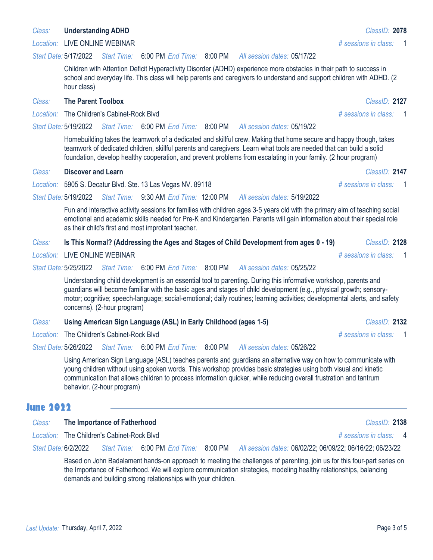guardians will become familiar with the basic ages and stages of child development (e.g., physical growth; sensorymotor; cognitive; speech-language; social-emotional; daily routines; learning activities; developmental alerts, and safety concerns). (2-hour program)

| Class: | Using American Sign Language (ASL) in Early Childhood (ages 1-5)      | <b>ClassID: 2132</b> |
|--------|-----------------------------------------------------------------------|----------------------|
|        | $\mathbf{r} = \mathbf{r}$ . The contract of $\mathbf{r} = \mathbf{r}$ |                      |

young children without using spoken words. This workshop provides basic strategies using both visual and kinetic communication that allows children to process information quicker, while reducing overall frustration and tantrum behavior. (2-hour program)

## **June 2022**

| Class: | The Importance of Fatherhood                                                                                                                                                                                                                                                                                  |                                            |                                       |  | ClassID: 2138                                             |  |  |
|--------|---------------------------------------------------------------------------------------------------------------------------------------------------------------------------------------------------------------------------------------------------------------------------------------------------------------|--------------------------------------------|---------------------------------------|--|-----------------------------------------------------------|--|--|
|        |                                                                                                                                                                                                                                                                                                               | Location: The Children's Cabinet-Rock Blvd |                                       |  | # sessions in class: 4                                    |  |  |
|        | Start Date: 6/2/2022                                                                                                                                                                                                                                                                                          |                                            | Start Time: 6:00 PM End Time: 8:00 PM |  | All session dates: 06/02/22; 06/09/22; 06/16/22; 06/23/22 |  |  |
|        | Based on John Badalament hands-on approach to meeting the challenges of parenting, join us for this four-part series on<br>the Importance of Fatherhood. We will explore communication strategies, modeling healthy relationships, balancing<br>demands and building strong relationships with your children. |                                            |                                       |  |                                                           |  |  |

Last Update: Thursday, April 7, 2022 **Page 3 of 5** and 2022 **Page 3 of 5** and 2022 Page 3 of 5

*Location:* LIVE ONLINE WEBINAR *# sessions in class:* 1

#### *Start Date:* 5/17/2022 *Start Time:* 6:00 PM *End Time:* 8:00 PM *All session dates:* 05/17/22

Children with Attention Deficit Hyperactivity Disorder (ADHD) experience more obstacles in their path to success in school and everyday life. This class will help parents and caregivers to understand and support children with ADHD. (2 hour class)

#### *Class:* **The Parent Toolbox** *ClassID:* **2127**

*Location:* The Children's Cabinet-Rock Blvd *# sessions in class:* 1

#### *Start Date:* 5/19/2022 *Start Time:* 6:00 PM *End Time:* 8:00 PM *All session dates:* 05/19/22

Homebuilding takes the teamwork of a dedicated and skillful crew. Making that home secure and happy though, takes teamwork of dedicated children, skillful parents and caregivers. Learn what tools are needed that can build a solid foundation, develop healthy cooperation, and prevent problems from escalating in your family. (2 hour program)

#### *Class:* **Discover and Learn** *ClassID:* **2147**

*Location:* 5905 S. Decatur Blvd. Ste. 13 Las Vegas NV. 89118 *# sessions in class:* 1

#### *Start Date:* 5/19/2022 *Start Time:* 9:30 AM *End Time:* 12:00 PM *All session dates:* 5/19/2022

Fun and interactive activity sessions for families with children ages 3-5 years old with the primary aim of teaching social emotional and academic skills needed for Pre-K and Kindergarten. Parents will gain information about their special role as their child's first and most improtant teacher.

#### *Class:* **Is This Normal? (Addressing the Ages and Stages of Child Development from ages 0 - 19)** *ClassID:* **2128**

*Location:* LIVE ONLINE WEBINAR *# sessions in class:* 1

*Start Date:* 5/25/2022 *Start Time:* 6:00 PM *End Time:* 8:00 PM *All session dates:* 05/25/22

Understanding child development is an essential tool to parenting. During this informative workshop, parents and

| Class: | Using American Sign Language (ASL) in Early Childhood (ages 1-5) | ClassID: 2132          |
|--------|------------------------------------------------------------------|------------------------|
|        | Location: The Children's Cabinet-Rock Blvd                       | # sessions in class: 1 |

*Start Date:* 5/26/2022 *All session dates:* 05/26/22 *Start Time:* 6:00 PM *End Time:* 8:00 PM

Using American Sign Language (ASL) teaches parents and guardians an alternative way on how to communicate with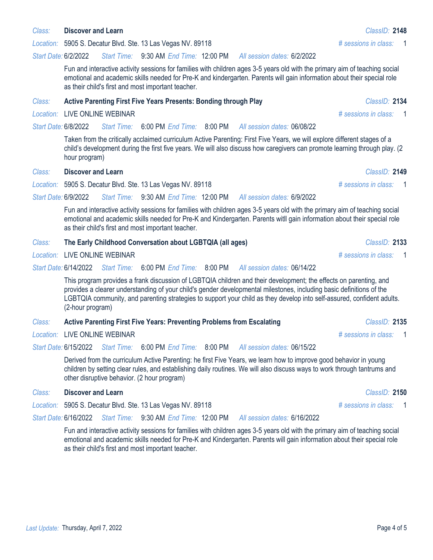#### *Class:* **Discover and Learn** *ClassID:* **2148**

*Location:* 5905 S. Decatur Blvd. Ste. 13 Las Vegas NV. 89118 *# sessions in class:* 1

*Start Date:* 6/2/2022 *All session dates:* 6/2/2022 *Start Time:* 9:30 AM *End Time:* 12:00 PM

> Fun and interactive activity sessions for families with children ages 3-5 years old with the primary aim of teaching social emotional and academic skills needed for Pre-K and kindergarten. Parents will gain information about their special role as their child's first and most important teacher.

#### *Class:* **Active Parenting First Five Years Presents: Bonding through Play** *ClassID:* **2134**

#### *Location:* LIVE ONLINE WEBINAR *# sessions in class:* 1

#### *Start Date:* 6/8/2022 *All session dates:* 06/08/22 *Start Time:* 6:00 PM *End Time:* 8:00 PM

Taken from the critically acclaimed curriculum Active Parenting: First Five Years, we will explore different stages of a child's development during the first five years. We will also discuss how caregivers can promote learning through play. (2 hour program)

#### *Class:* **Discover and Learn** *ClassID:* **2149**

*Location:* 5905 S. Decatur Blvd. Ste. 13 Las Vegas NV. 89118 *# sessions in class:* 1

#### *Start Date:* 6/9/2022 *All session dates:* 6/9/2022 *Start Time:* 9:30 AM *End Time:* 12:00 PM

Fun and interactive activity sessions for families with children ages 3-5 years old with the primary aim of teaching social emotional and academic skills needed for Pre-K and Kindergarten. Parents witll gain information about their special role as their child's first and most important teacher.

#### *Class:* **The Early Childhood Conversation about LGBTQIA (all ages)** *ClassID:* **2133**

*Location:* LIVE ONLINE WEBINAR *# sessions in class:* 1

*Start Date:* 6/14/2022 *Start Time:* 6:00 PM *End Time:* 8:00 PM *All session dates:* 06/14/22

> This program provides a frank discussion of LGBTQIA children and their development; the effects on parenting, and provides a clearer understanding of your child's gender developmental milestones, including basic definitions of the LGBTQIA community, and parenting strategies to support your child as they develop into self-assured, confident adults. (2-hour program)

#### *Class:* **Active Parenting First Five Years: Preventing Problems from Escalating** *ClassID:* **2135**

*Location:* LIVE ONLINE WEBINAR *# sessions in class:* 1

*Start Date:* 6/15/2022 *Start Time:* 6:00 PM *End Time:* 8:00 PM *All session dates:* 06/15/22

> Derived from the curriculum Active Parenting: he first Five Years, we learn how to improve good behavior in young children by setting clear rules, and establishing daily routines. We will also discuss ways to work through tantrums and other disruptive behavior. (2 hour program)

#### *Class:* **Discover and Learn** *ClassID:* **2150**

*Location:* 5905 S. Decatur Blvd. Ste. 13 Las Vegas NV. 89118 *# sessions in class:* 1

*Start Date:* 6/16/2022 *Start Time:* 9:30 AM *End Time:* 12:00 PM *All session dates:* 6/16/2022

> Fun and interactive activity sessions for families with children ages 3-5 years old with the primary aim of teaching social emotional and academic skills needed for Pre-K and Kindergarten. Parents will gain information about their special role as their child's first and most important teacher.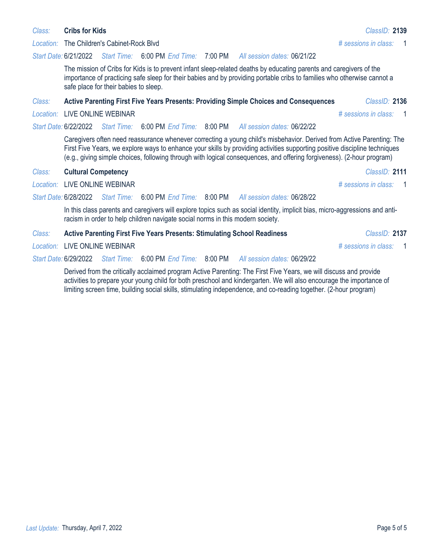#### Last Update: Thursday, April 7, 2022 **Page 5 of 5** and 2022 **Page 5 of 5** and 2022 Page 5 of 5

*Location:* The Children's Cabinet-Rock Blvd *# sessions in class:* 1

#### *Start Date:* 6/21/2022 *Start Time:* 6:00 PM *End Time:* 7:00 PM *All session dates:* 06/21/22

The mission of Cribs for Kids is to prevent infant sleep-related deaths by educating parents and caregivers of the importance of practicing safe sleep for their babies and by providing portable cribs to families who otherwise cannot a safe place for their babies to sleep.

### *Class:* **Active Parenting First Five Years Presents: Providing Simple Choices and Consequences** *ClassID:* **2136**

## *Location:* LIVE ONLINE WEBINAR *# sessions in class:* 1

#### *Start Date:* 6/22/2022 *Start Time:* 6:00 PM *End Time:* 8:00 PM *All session dates:* 06/22/22

Caregivers often need reassurance whenever correcting a young child's misbehavior. Derived from Active Parenting: The First Five Years, we explore ways to enhance your skills by providing activities supporting positive discipline techniques (e.g., giving simple choices, following through with logical consequences, and offering forgiveness). (2-hour program)

### *Class:* **Cultural Competency** *ClassID:* **2111**

*Location:* LIVE ONLINE WEBINAR *# sessions in class:* 1

#### *Start Date:* 6/28/2022 *Start Time:* 6:00 PM *End Time:* 8:00 PM *All session dates:* 06/28/22

In this class parents and caregivers will explore topics such as social identity, implicit bias, micro-aggressions and antiracism in order to help children navigate social norms in this modern society.

| <b>Active Parenting First Five Years Presents: Stimulating School Readiness</b> | Class: |  |  | ClassID: 2137 |
|---------------------------------------------------------------------------------|--------|--|--|---------------|
|---------------------------------------------------------------------------------|--------|--|--|---------------|

*Location:* LIVE ONLINE WEBINAR *# sessions in class:* 1

*Start Date:* 6/29/2022 *All session dates:* 06/29/22 *Start Time:* 6:00 PM *End Time:* 8:00 PM

> Derived from the critically acclaimed program Active Parenting: The First Five Years, we will discuss and provide activities to prepare your young child for both preschool and kindergarten. We will also encourage the importance of limiting screen time, building social skills, stimulating independence, and co-reading together. (2-hour program)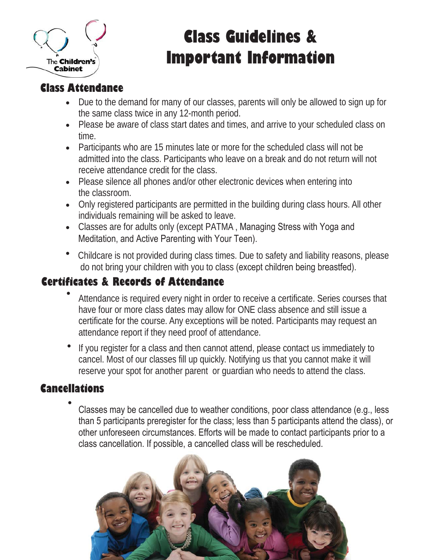

# **Class Guidelines & Important Information**

## **Class Attendance**

- Due to the demand for many of our classes, parents will only be allowed to sign up for the same class twice in any 12-month period.
- Please be aware of class start dates and times, and arrive to your scheduled class on time.
- Participants who are 15 minutes late or more for the scheduled class will not be admitted into the class. Participants who leave on a break and do not return will not receive attendance credit for the class.
- Please silence all phones and/or other electronic devices when entering into the classroom.
- Only registered participants are permitted in the building during class hours. All other individuals remaining will be asked to leave.
- Classes are for adults only (except PATMA, Managing Stress with Yoga and Meditation, and Active Parenting with Your Teen).
- Childcare is not provided during class times. Due to safety and liability reasons, please do not bring your children with you to class (except children being breastfed).

## **Certificates & Records of Attendance**

- Attendance is required every night in order to receive a certificate. Series courses that have four or more class dates may allow for ONE class absence and still issue a certificate for the course. Any exceptions will be noted. Participants may request an attendance report if they need proof of attendance.
- If you register for a class and then cannot attend, please contact us immediately to cancel. Most of our classes fill up quickly. Notifying us that you cannot make it will reserve your spot for another parent or guardian who needs to attend the class.

## **Cancellations**

Classes may be cancelled due to weather conditions, poor class attendance (e.g., less than 5 participants preregister for the class; less than 5 participants attend the class), or other unforeseen circumstances. Efforts will be made to contact participants prior to a class cancellation. If possible, a cancelled class will be rescheduled.

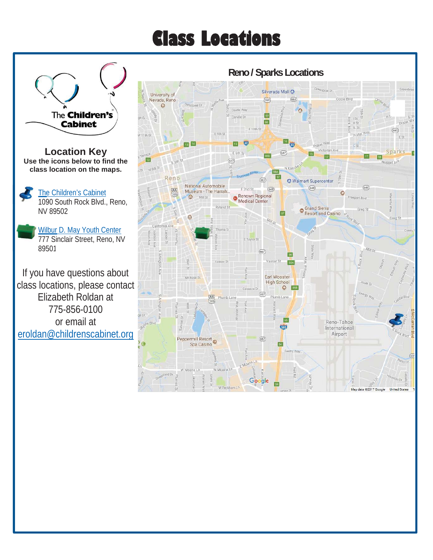# **Class Locations**

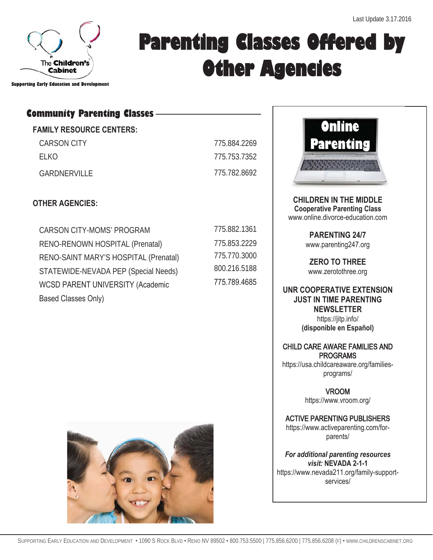

# **Parenting Classes Offered by Other Agencies**

**Supporting Early Education and Development** 

## **Community Parenting Classes**

## **FAMILY RESOURCE CENTERS:**

CARSON CITY 775.884.2269 ELKO 775.753.7352 GARDNERVILLE 775.782.8692

## **OTHER AGENCIES:**

| <b>CARSON CITY-MOMS' PROGRAM</b>        |
|-----------------------------------------|
| RENO-RENOWN HOSPITAL (Prenatal)         |
| RENO-SAINT MARY'S HOSPITAL (Prenatal)   |
| STATEWIDE-NEVADA PEP (Special Needs)    |
| <b>WCSD PARENT UNIVERSITY (Academic</b> |
| Based Classes Only)                     |

| 775.882.1361 |
|--------------|
| 775 853 2229 |
| 775.770.3000 |
| 800 216 5188 |
| 775.789.4685 |



**CHILDREN IN THE MIDDLE Cooperative Parenting Class**  www.online.divorce-education.com

> **PARENTING 24/7**  www.parenting247.org

**ZERO TO THREE**  www.zerotothree.org

**UNR COOPERATIVE EXTENSION JUST IN TIME PARENTING NEWSLETTER**  https://jitp.info/ **(disponible en Español)** 

## CHILD CARE AWARE FAMILIES AND PROGRAMS

https://usa.childcareaware.org/familiesprograms/

> VROOM https://www.vroom.org/

ACTIVE PARENTING PUBLISHERS https://www.activeparenting.com/forparents/

*For additional parenting resources visit:* **NEVADA 2-1-1**  https://www.nevada211.org/family-supportservices/

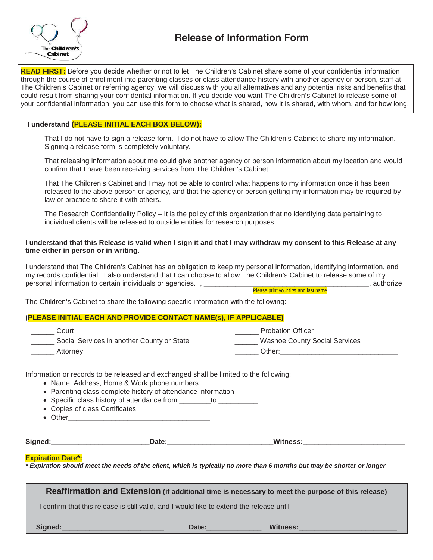

**READ FIRST:** Before you decide whether or not to let The Children's Cabinet share some of your confidential information through the course of enrollment into parenting classes or class attendance history with another agency or person, staff at The Children's Cabinet or referring agency, we will discuss with you all alternatives and any potential risks and benefits that could result from sharing your confidential information. If you decide you want The Children's Cabinet to release some of your confidential information, you can use this form to choose what is shared, how it is shared, with whom, and for how long.

#### **I understand (PLEASE INITIAL EACH BOX BELOW):**

 That I do not have to sign a release form. I do not have to allow The Children's Cabinet to share my information. Signing a release form is completely voluntary.

 That releasing information about me could give another agency or person information about my location and would confirm that I have been receiving services from The Children's Cabinet.

 That The Children's Cabinet and I may not be able to control what happens to my information once it has been released to the above person or agency, and that the agency or person getting my information may be required by law or practice to share it with others.

 The Research Confidentiality Policy – It is the policy of this organization that no identifying data pertaining to individual clients will be released to outside entities for research purposes.

#### **I understand that this Release is valid when I sign it and that I may withdraw my consent to this Release at any time either in person or in writing.**

I understand that The Children's Cabinet has an obligation to keep my personal information, identifying information, and my records confidential. I also understand that I can choose to allow The Children's Cabinet to release some of my personal information to certain individuals or agencies. I, \_\_\_\_\_\_\_\_\_\_\_\_\_\_\_\_\_\_\_\_\_\_\_\_\_\_\_\_\_\_\_\_\_\_\_\_\_\_\_\_\_\_, authorize

Please print your first and last name

The Children's Cabinet to share the following specific information with the following:

#### **(PLEASE INITIAL EACH AND PROVIDE CONTACT NAME(s), IF APPLICABLE)**

| Court                                      | <b>Probation Officer</b>             |
|--------------------------------------------|--------------------------------------|
| Social Services in another County or State | <b>Washoe County Social Services</b> |
| Attornev                                   | Other:                               |

Information or records to be released and exchanged shall be limited to the following:

- Name, Address, Home & Work phone numbers
- Parenting class complete history of attendance information
- Specific class history of attendance from \_\_\_\_\_\_\_to \_\_\_\_\_\_\_\_\_\_\_
- Copies of class Certificates
- $\bullet$  Other

**Signed:\_\_\_\_\_\_\_\_\_\_\_\_\_\_\_\_\_\_\_\_\_\_\_\_\_Date:\_\_\_\_\_\_\_\_\_\_\_\_\_\_\_\_\_\_\_\_\_\_\_\_\_\_\_Witness:\_\_\_\_\_\_\_\_\_\_\_\_\_\_\_\_\_\_\_\_\_\_\_\_\_\_** 

#### **Expiration Date\*:**

*\* Expiration should meet the needs of the client, which is typically no more than 6 months but may be shorter or longer* 

**Reaffirmation and Extension (if additional time is necessary to meet the purpose of this release)**  I confirm that this release is still valid, and I would like to extend the release until **Signed:\_\_\_\_\_\_\_\_\_\_\_\_\_\_\_\_\_\_\_\_\_\_\_\_\_\_ Date:\_\_\_\_\_\_\_\_\_\_\_\_\_\_ Witness:\_\_\_\_\_\_\_\_\_\_\_\_\_\_\_\_\_\_\_\_\_\_\_\_\_**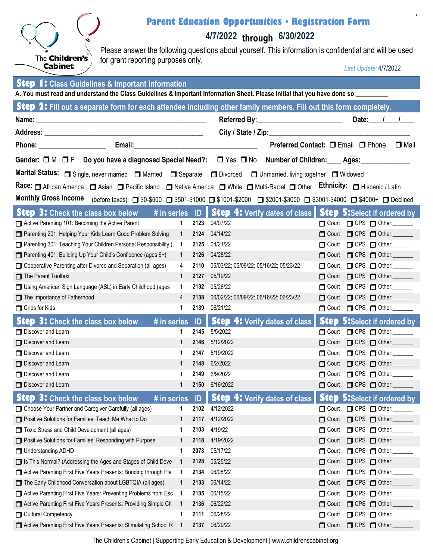

## **Parent Education Opportunities • Registration Form**

**4/7/2022 through 6/30/2022**

Please answer the following questions about yourself. This information is confidential and will be used for grant reporting purposes only.

*Last Update:* 4/7/2022

**\***

| <b>Step 1:</b> Class Guidelines & Important Information                                                                                                                                                                             |                |              |                                                               |                      |                                             |
|-------------------------------------------------------------------------------------------------------------------------------------------------------------------------------------------------------------------------------------|----------------|--------------|---------------------------------------------------------------|----------------------|---------------------------------------------|
| A. You must read and understand the Class Guidelines & Important Information Sheet. Please initial that you have done so:                                                                                                           |                |              |                                                               |                      |                                             |
| Step 2: Fill out a separate form for each attendee including other family members. Fill out this form completely.                                                                                                                   |                |              |                                                               |                      |                                             |
|                                                                                                                                                                                                                                     |                |              |                                                               |                      | Date: $1$                                   |
|                                                                                                                                                                                                                                     |                |              | City / State / Zip:                                           |                      |                                             |
|                                                                                                                                                                                                                                     |                |              | Preferred Contact: □ Email □ Phone                            |                      | $\Box$ Mail                                 |
| Gender: □ M □ F Do you have a diagnosed Special Need?: □ Yes □ No Number of Children: ___ Ages: _____________                                                                                                                       |                |              |                                                               |                      |                                             |
| Marital Status: Single, never married Staturied State Separate Superced Status: Single, never married Status: N                                                                                                                     |                |              |                                                               |                      |                                             |
| Race: <u>On African America</u> Consignation Consider Island Constitute America Constitute Constitute Constantine Constantine Constantine Constantine Constantine Constantine Constantine Constantine Constantine Constantine Const |                |              |                                                               |                      |                                             |
| Monthly Gross Income (before taxes) ■ \$0-\$500 ■ \$501-\$1000 ■ \$1001-\$2000 ■ \$2001-\$3000 ■ \$3001-\$4000 ■ \$4000+ ■ Declined                                                                                                 |                |              |                                                               |                      |                                             |
|                                                                                                                                                                                                                                     |                |              |                                                               |                      |                                             |
| <b>Step 3:</b> Check the class box below $\#$ in series ID <b>  Step 4:</b> Verify dates of class <b>  Step 5:</b> Select if ordered by                                                                                             |                |              |                                                               |                      |                                             |
| Active Parenting 101: Becoming the Active Parent                                                                                                                                                                                    | $\overline{1}$ | 2123         | 04/07/22                                                      |                      | $\Box$ Court $\Box$ CPS $\Box$ Other:       |
| Parenting 201: Helping Your Kids Learn Good Problem Solving<br>□ Parenting 301: Teaching Your Children Personal Responsibility ( 1                                                                                                  | $\overline{1}$ | 2124<br>2125 | 04/14/22<br>04/21/22                                          |                      | Court C CPS Of Other:                       |
| Parenting 401: Building Up Your Child's Confidence (ages 6+)                                                                                                                                                                        | $\overline{1}$ | 2126         | 04/28/22                                                      |                      | Court C CPS Of Other:<br>Court C CPS Other: |
| Cooperative Parenting after Divorce and Separation (all ages)                                                                                                                                                                       | 4              | 2110         | 05/03/22; 05/09/22; 05/16/22; 05/23/22                        |                      | Court C CPS Of Other:                       |
| The Parent Toolbox                                                                                                                                                                                                                  | $\mathbf{1}$   | 2127         | 05/19/22                                                      |                      | Court C CPS Other:                          |
| Using American Sign Language (ASL) in Early Childhood (ages                                                                                                                                                                         | $\mathbf{1}$   |              | 2132 05/26/22                                                 |                      | Court C CPS Of Other:                       |
| The Importance of Fatherhood                                                                                                                                                                                                        | $\overline{4}$ | 2138         | 06/02/22; 06/09/22; 06/16/22; 06/23/22                        |                      | Court C CPS Of Other:                       |
| Cribs for Kids                                                                                                                                                                                                                      | 1              | 2139         | 06/21/22                                                      |                      | Court C CPS Of Other:                       |
| <b>Step 3:</b> Check the class box below<br># in series                                                                                                                                                                             |                | ID           | <b>Step 4: Verify dates of class</b>                          |                      | <b>Step 5:</b> Select if ordered by         |
| Discover and Learn                                                                                                                                                                                                                  | 1              | 2145         | 5/5/2022                                                      |                      | Court C CPS Other:                          |
| Discover and Learn                                                                                                                                                                                                                  | $\mathbf{1}$   | 2146         | 5/12/2022                                                     |                      | Court C CPS Of Other:                       |
| Discover and Learn                                                                                                                                                                                                                  | 1              | 2147         | 5/19/2022                                                     |                      | Court C CPS Of Other:                       |
| Discover and Learn                                                                                                                                                                                                                  | $\mathbf{1}$   | 2148         | 6/2/2022                                                      |                      | Court C CPS Other:                          |
| Discover and Learn                                                                                                                                                                                                                  | 1              | 2149         | 6/9/2022                                                      |                      | Court C CPS C Other:                        |
| Discover and Learn                                                                                                                                                                                                                  | 1              | 2150         | 6/16/2022                                                     |                      | Court C CPS Of Other:                       |
| Step 3: Check the class box below<br># in series                                                                                                                                                                                    |                |              | ID Step 4: Verify dates of class Step 5: Select if ordered by |                      |                                             |
| Choose Your Partner and Caregiver Carefully (all ages)                                                                                                                                                                              |                | 2102         | 4/12/2022                                                     |                      | Court C CPS Other:                          |
| Positive Solutions for Families: Teach Me What to Do                                                                                                                                                                                | 1              | 2117         | 4/12/2022                                                     | $\Box$ Court         | $\Box$ CPS $\Box$ Other:                    |
| Toxic Stress and Child Development (all ages)                                                                                                                                                                                       | 1              | 2103         | 4/19/22                                                       | $\Box$ Court         | $\Box$ CPS $\Box$ Other:                    |
| Positive Solutions for Families: Responding with Purpose                                                                                                                                                                            | 1              | 2118         | 4/19/2022                                                     | $\Box$ Court         | $\Box$ CPS $\Box$ Other:                    |
| Understanding ADHD                                                                                                                                                                                                                  | 1              | 2078         | 05/17/22                                                      | $\Box$ Court         | $\Box$ CPS $\Box$ Other:                    |
| Is This Normal? (Addressing the Ages and Stages of Child Deve                                                                                                                                                                       | 1              | 2128         | 05/25/22                                                      | $\Box$ Court         | $\Box$ CPS $\Box$ Other:                    |
| Active Parenting First Five Years Presents: Bonding through Pla                                                                                                                                                                     | -1             | 2134         | 06/08/22                                                      | $\blacksquare$ Court | $\Box$ CPS $\Box$ Other:                    |
| The Early Childhood Conversation about LGBTQIA (all ages)                                                                                                                                                                           | 1              | 2133         | 06/14/22                                                      | $\Box$ Court         | $\Box$ CPS $\Box$ Other:                    |
| Active Parenting First Five Years: Preventing Problems from Esc                                                                                                                                                                     | $\mathbf{1}$   | 2135         | 06/15/22                                                      | $\blacksquare$ Court | $\Box$ CPS $\Box$ Other:                    |
| Active Parenting First Five Years Presents: Providing Simple Ch                                                                                                                                                                     |                | 2136         | 06/22/22                                                      | $\Box$ Court         | $\Box$ CPS $\Box$ Other:                    |
| Cultural Competency                                                                                                                                                                                                                 | 1              | 2111         | 06/28/22                                                      | $\Box$ Court         | $\Box$ CPS $\Box$ Other:                    |
| Active Parenting First Five Years Presents: Stimulating School R                                                                                                                                                                    |                | 2137         | 06/29/22                                                      | $\Box$ Court         | $\Box$ CPS $\Box$ Other:                    |

The Children's Cabinet | Supporting Early Education & Development | www.childrenscabinet.org